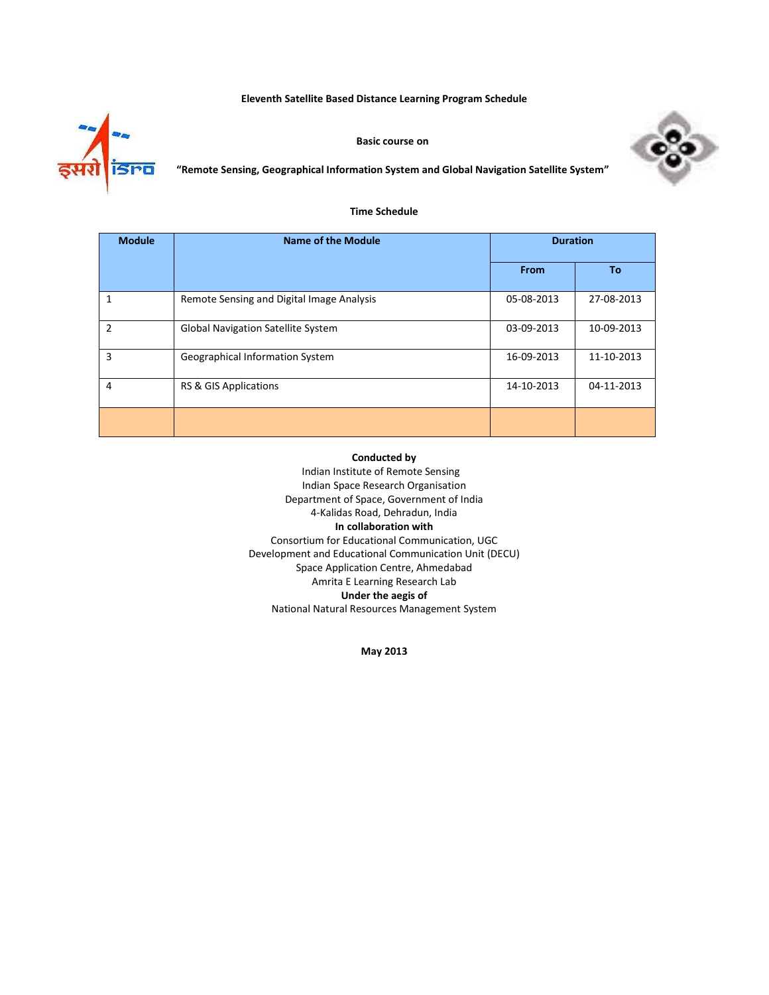**Eleventh Satellite Based Distance Learning Program Schedule**



**Basic course on**



**"Remote Sensing, Geographical Information System and Global Navigation Satellite System"**

### **Time Schedule**

| <b>Module</b>  | Name of the Module                        | <b>Duration</b> |            |
|----------------|-------------------------------------------|-----------------|------------|
|                |                                           | From            | <b>To</b>  |
| 1              | Remote Sensing and Digital Image Analysis | 05-08-2013      | 27-08-2013 |
| $\overline{2}$ | <b>Global Navigation Satellite System</b> | 03-09-2013      | 10-09-2013 |
| 3              | Geographical Information System           | 16-09-2013      | 11-10-2013 |
| 4              | RS & GIS Applications                     | 14-10-2013      | 04-11-2013 |
|                |                                           |                 |            |

#### **Conducted by**

Indian Institute of Remote Sensing Indian Space Research Organisation Department of Space, Government of India 4‐Kalidas Road, Dehradun, India **In collaboration with** Consortium for Educational Communication, UGC Development and Educational Communication Unit (DECU) Space Application Centre, Ahmedabad Amrita E Learning Research Lab **Under the aegis of** National Natural Resources Management System

**May 2013**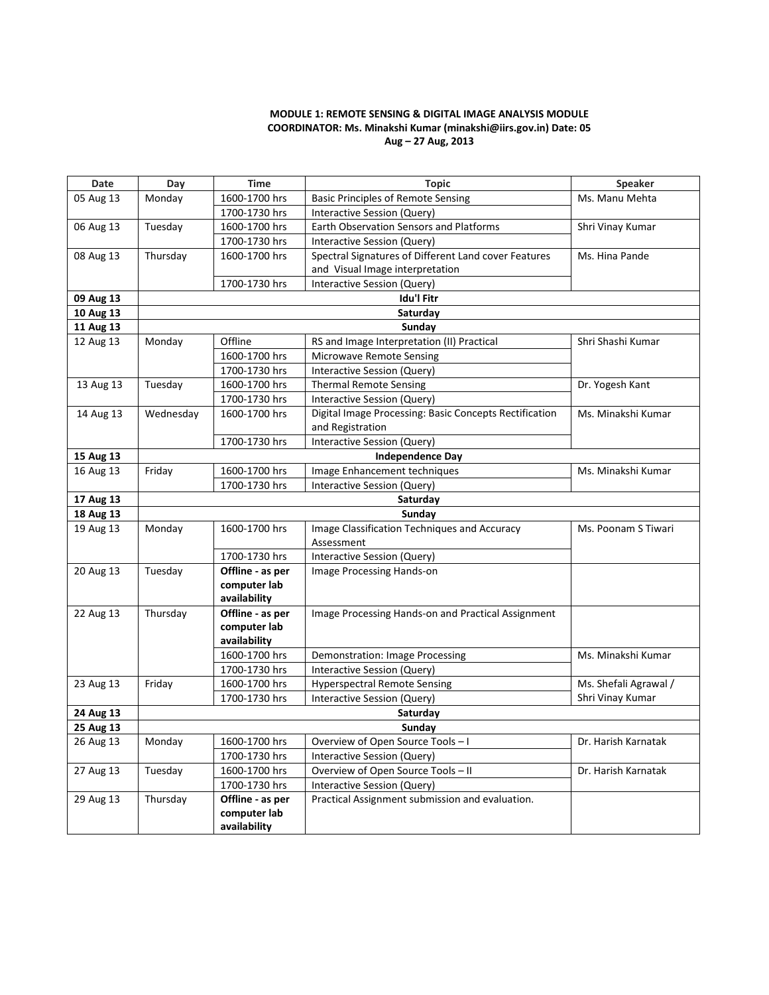# **MODULE 1: REMOTE SENSING & DIGITAL IMAGE ANALYSIS MODULE COORDINATOR: Ms. Minakshi Kumar (minakshi@iirs.gov.in) Date: 05 Aug – 27 Aug, 2013**

| Date      | Day                     | <b>Time</b>                      | <b>Topic</b>                                                               | <b>Speaker</b>                            |
|-----------|-------------------------|----------------------------------|----------------------------------------------------------------------------|-------------------------------------------|
| 05 Aug 13 | Monday                  | 1600-1700 hrs                    | <b>Basic Principles of Remote Sensing</b>                                  | Ms. Manu Mehta                            |
|           |                         | 1700-1730 hrs                    | Interactive Session (Query)                                                |                                           |
| 06 Aug 13 | Tuesday                 | 1600-1700 hrs                    | Earth Observation Sensors and Platforms                                    | Shri Vinay Kumar                          |
|           |                         | 1700-1730 hrs                    | Interactive Session (Query)                                                |                                           |
| 08 Aug 13 | Thursday                | 1600-1700 hrs                    | Spectral Signatures of Different Land cover Features                       | Ms. Hina Pande                            |
|           |                         |                                  | and Visual Image interpretation                                            |                                           |
|           |                         | 1700-1730 hrs                    | Interactive Session (Query)                                                |                                           |
| 09 Aug 13 |                         |                                  | <b>Idu'l Fitr</b>                                                          |                                           |
| 10 Aug 13 |                         |                                  | Saturday                                                                   |                                           |
| 11 Aug 13 |                         |                                  | Sunday                                                                     |                                           |
| 12 Aug 13 | Monday                  | Offline                          | RS and Image Interpretation (II) Practical                                 | Shri Shashi Kumar                         |
|           |                         | 1600-1700 hrs                    | <b>Microwave Remote Sensing</b>                                            |                                           |
|           |                         | 1700-1730 hrs                    | Interactive Session (Query)                                                |                                           |
| 13 Aug 13 | Tuesday                 | 1600-1700 hrs                    | <b>Thermal Remote Sensing</b>                                              | Dr. Yogesh Kant                           |
|           |                         | 1700-1730 hrs                    | Interactive Session (Query)                                                |                                           |
| 14 Aug 13 | Wednesday               | 1600-1700 hrs                    | Digital Image Processing: Basic Concepts Rectification<br>and Registration | Ms. Minakshi Kumar                        |
|           |                         | 1700-1730 hrs                    | Interactive Session (Query)                                                |                                           |
| 15 Aug 13 | <b>Independence Day</b> |                                  |                                                                            |                                           |
| 16 Aug 13 | Friday                  | 1600-1700 hrs                    | Image Enhancement techniques                                               | Ms. Minakshi Kumar                        |
|           |                         | 1700-1730 hrs                    | <b>Interactive Session (Query)</b>                                         |                                           |
| 17 Aug 13 | Saturday                |                                  |                                                                            |                                           |
| 18 Aug 13 |                         |                                  | Sunday                                                                     |                                           |
| 19 Aug 13 | Monday                  | 1600-1700 hrs                    | Image Classification Techniques and Accuracy                               | Ms. Poonam S Tiwari                       |
|           |                         |                                  | Assessment                                                                 |                                           |
|           |                         | 1700-1730 hrs                    | Interactive Session (Query)                                                |                                           |
| 20 Aug 13 | Tuesday                 | Offline - as per                 | Image Processing Hands-on                                                  |                                           |
|           |                         | computer lab                     |                                                                            |                                           |
|           |                         | availability                     |                                                                            |                                           |
| 22 Aug 13 | Thursday                | Offline - as per                 | Image Processing Hands-on and Practical Assignment                         |                                           |
|           |                         | computer lab                     |                                                                            |                                           |
|           |                         | availability                     |                                                                            |                                           |
|           |                         | 1600-1700 hrs                    | Demonstration: Image Processing                                            | Ms. Minakshi Kumar                        |
|           |                         | 1700-1730 hrs                    | Interactive Session (Query)                                                |                                           |
| 23 Aug 13 | Friday                  | 1600-1700 hrs                    | <b>Hyperspectral Remote Sensing</b>                                        | Ms. Shefali Agrawal /<br>Shri Vinay Kumar |
|           |                         | 1700-1730 hrs                    | Interactive Session (Query)                                                |                                           |
| 24 Aug 13 | Saturday                |                                  |                                                                            |                                           |
| 25 Aug 13 |                         |                                  | Sunday                                                                     |                                           |
| 26 Aug 13 | Monday                  | 1600-1700 hrs                    | Overview of Open Source Tools - I                                          | Dr. Harish Karnatak                       |
| 27 Aug 13 | Tuesday                 | 1700-1730 hrs<br>1600-1700 hrs   | Interactive Session (Query)                                                | Dr. Harish Karnatak                       |
|           |                         |                                  | Overview of Open Source Tools - II                                         |                                           |
|           |                         | 1700-1730 hrs                    | Interactive Session (Query)                                                |                                           |
| 29 Aug 13 | Thursday                | Offline - as per<br>computer lab | Practical Assignment submission and evaluation.                            |                                           |
|           |                         | availability                     |                                                                            |                                           |
|           |                         |                                  |                                                                            |                                           |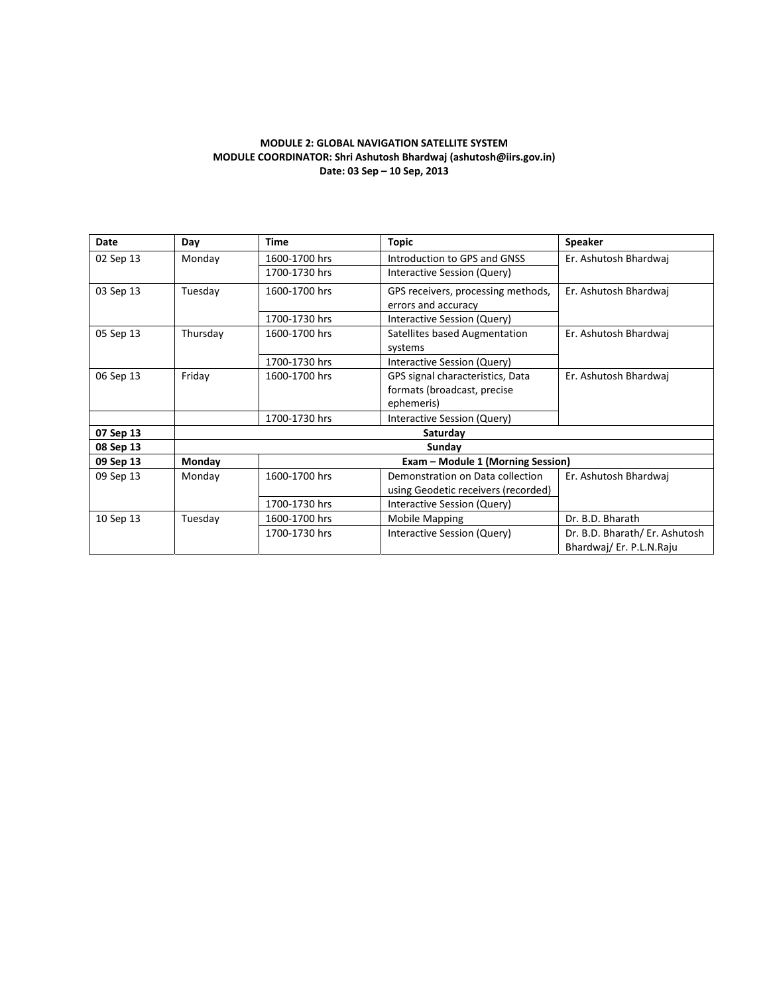## **MODULE 2: GLOBAL NAVIGATION SATELLITE SYSTEM MODULE COORDINATOR: Shri Ashutosh Bhardwaj (ashutosh@iirs.gov.in) Date: 03 Sep – 10 Sep, 2013**

| Date      | Day      | <b>Time</b>                       | <b>Topic</b>                                                                  | <b>Speaker</b>                                            |  |
|-----------|----------|-----------------------------------|-------------------------------------------------------------------------------|-----------------------------------------------------------|--|
| 02 Sep 13 | Monday   | 1600-1700 hrs                     | Introduction to GPS and GNSS                                                  | Er. Ashutosh Bhardwaj                                     |  |
|           |          | 1700-1730 hrs                     | Interactive Session (Query)                                                   |                                                           |  |
| 03 Sep 13 | Tuesday  | 1600-1700 hrs                     | GPS receivers, processing methods,<br>errors and accuracy                     | Er. Ashutosh Bhardwaj                                     |  |
|           |          | 1700-1730 hrs                     | Interactive Session (Query)                                                   |                                                           |  |
| 05 Sep 13 | Thursday | 1600-1700 hrs                     | Satellites based Augmentation<br>systems                                      | Er. Ashutosh Bhardwaj                                     |  |
|           |          | 1700-1730 hrs                     | Interactive Session (Query)                                                   |                                                           |  |
| 06 Sep 13 | Friday   | 1600-1700 hrs                     | GPS signal characteristics, Data<br>formats (broadcast, precise<br>ephemeris) | Er. Ashutosh Bhardwai                                     |  |
|           |          | 1700-1730 hrs                     | Interactive Session (Query)                                                   |                                                           |  |
| 07 Sep 13 |          | Saturday                          |                                                                               |                                                           |  |
| 08 Sep 13 |          | Sunday                            |                                                                               |                                                           |  |
| 09 Sep 13 | Monday   | Exam - Module 1 (Morning Session) |                                                                               |                                                           |  |
| 09 Sep 13 | Monday   | 1600-1700 hrs                     | Demonstration on Data collection<br>using Geodetic receivers (recorded)       | Er. Ashutosh Bhardwai                                     |  |
|           |          | 1700-1730 hrs                     | Interactive Session (Query)                                                   |                                                           |  |
| 10 Sep 13 | Tuesday  | 1600-1700 hrs                     | <b>Mobile Mapping</b>                                                         | Dr. B.D. Bharath                                          |  |
|           |          | 1700-1730 hrs                     | Interactive Session (Query)                                                   | Dr. B.D. Bharath/ Er. Ashutosh<br>Bhardwaj/Er. P.L.N.Raju |  |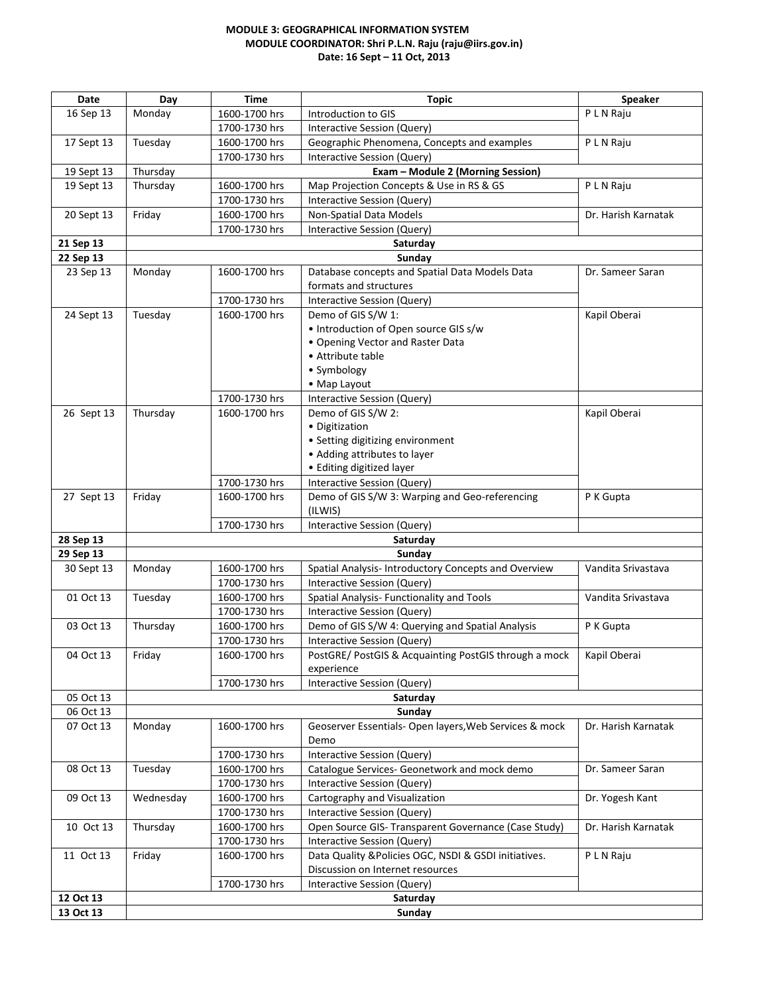# **MODULE 3: GEOGRAPHICAL INFORMATION SYSTEM MODULE COORDINATOR: Shri P.L.N. Raju (raju@iirs.gov.in) Date: 16 Sept – 11 Oct, 2013**

| Date       | Day                | Time                           | <b>Topic</b>                                                                         | <b>Speaker</b>      |  |  |
|------------|--------------------|--------------------------------|--------------------------------------------------------------------------------------|---------------------|--|--|
| 16 Sep 13  | Monday             | 1600-1700 hrs                  | Introduction to GIS                                                                  | P L N Raju          |  |  |
|            |                    | 1700-1730 hrs                  | Interactive Session (Query)                                                          |                     |  |  |
| 17 Sept 13 | Tuesday            | 1600-1700 hrs                  | Geographic Phenomena, Concepts and examples                                          | P L N Raju          |  |  |
|            |                    | 1700-1730 hrs                  | Interactive Session (Query)                                                          |                     |  |  |
| 19 Sept 13 | Thursday           |                                | Exam - Module 2 (Morning Session)                                                    |                     |  |  |
| 19 Sept 13 | Thursday           | 1600-1700 hrs                  | Map Projection Concepts & Use in RS & GS                                             | P L N Raju          |  |  |
|            |                    | 1700-1730 hrs                  | Interactive Session (Query)                                                          |                     |  |  |
| 20 Sept 13 | Friday             | 1600-1700 hrs                  | Non-Spatial Data Models                                                              | Dr. Harish Karnatak |  |  |
|            |                    | 1700-1730 hrs                  | Interactive Session (Query)                                                          |                     |  |  |
| 21 Sep 13  | Saturday           |                                |                                                                                      |                     |  |  |
| 22 Sep 13  |                    |                                | Sunday                                                                               |                     |  |  |
| 23 Sep 13  | Monday             | 1600-1700 hrs                  | Database concepts and Spatial Data Models Data                                       | Dr. Sameer Saran    |  |  |
|            |                    |                                | formats and structures                                                               |                     |  |  |
|            |                    | 1700-1730 hrs                  | Interactive Session (Query)                                                          |                     |  |  |
| 24 Sept 13 | Tuesday            | 1600-1700 hrs                  | Demo of GIS S/W 1:                                                                   | Kapil Oberai        |  |  |
|            |                    |                                | • Introduction of Open source GIS s/w                                                |                     |  |  |
|            |                    |                                | . Opening Vector and Raster Data                                                     |                     |  |  |
|            |                    |                                | • Attribute table                                                                    |                     |  |  |
|            |                    |                                | • Symbology                                                                          |                     |  |  |
|            |                    |                                | • Map Layout                                                                         |                     |  |  |
|            |                    | 1700-1730 hrs                  | Interactive Session (Query)                                                          |                     |  |  |
| 26 Sept 13 | Thursday           | 1600-1700 hrs                  | Demo of GIS S/W 2:                                                                   | Kapil Oberai        |  |  |
|            |                    |                                | · Digitization                                                                       |                     |  |  |
|            |                    |                                | • Setting digitizing environment                                                     |                     |  |  |
|            |                    |                                | • Adding attributes to layer                                                         |                     |  |  |
|            |                    |                                | • Editing digitized layer                                                            |                     |  |  |
|            |                    | 1700-1730 hrs                  | Interactive Session (Query)                                                          |                     |  |  |
| 27 Sept 13 | Friday             | 1600-1700 hrs                  | Demo of GIS S/W 3: Warping and Geo-referencing                                       | P K Gupta           |  |  |
|            |                    |                                | (ILWIS)                                                                              |                     |  |  |
|            |                    | 1700-1730 hrs                  | Interactive Session (Query)                                                          |                     |  |  |
| 28 Sep 13  |                    |                                | Saturday                                                                             |                     |  |  |
| 29 Sep 13  |                    |                                | Sunday                                                                               |                     |  |  |
| 30 Sept 13 | Monday             | 1600-1700 hrs                  | Spatial Analysis- Introductory Concepts and Overview                                 | Vandita Srivastava  |  |  |
|            |                    | 1700-1730 hrs                  | Interactive Session (Query)                                                          |                     |  |  |
| 01 Oct 13  | Tuesday            | 1600-1700 hrs                  | Spatial Analysis- Functionality and Tools                                            | Vandita Srivastava  |  |  |
|            |                    | 1700-1730 hrs                  | Interactive Session (Query)                                                          |                     |  |  |
| 03 Oct 13  | Thursday           | 1600-1700 hrs                  | Demo of GIS S/W 4: Querying and Spatial Analysis                                     | P K Gupta           |  |  |
| 04 Oct 13  |                    | 1700-1730 hrs<br>1600-1700 hrs | Interactive Session (Query)<br>PostGRE/ PostGIS & Acquainting PostGIS through a mock |                     |  |  |
|            | Friday             |                                |                                                                                      | Kapil Oberai        |  |  |
|            |                    | 1700-1730 hrs                  | experience<br>Interactive Session (Query)                                            |                     |  |  |
| 05 Oct 13  |                    |                                |                                                                                      |                     |  |  |
| 06 Oct 13  | Saturday<br>Sundav |                                |                                                                                      |                     |  |  |
| 07 Oct 13  | Monday             | 1600-1700 hrs                  | Geoserver Essentials- Open layers, Web Services & mock                               | Dr. Harish Karnatak |  |  |
|            |                    |                                | Demo                                                                                 |                     |  |  |
|            |                    | 1700-1730 hrs                  | Interactive Session (Query)                                                          |                     |  |  |
| 08 Oct 13  | Tuesday            | 1600-1700 hrs                  | Catalogue Services- Geonetwork and mock demo                                         | Dr. Sameer Saran    |  |  |
|            |                    |                                |                                                                                      |                     |  |  |
|            |                    | 1700-1730 hrs<br>1600-1700 hrs | Interactive Session (Query)<br>Cartography and Visualization                         |                     |  |  |
| 09 Oct 13  | Wednesday          |                                |                                                                                      | Dr. Yogesh Kant     |  |  |
|            |                    | 1700-1730 hrs                  | Interactive Session (Query)                                                          |                     |  |  |
| 10 Oct 13  | Thursday           | 1600-1700 hrs                  | Open Source GIS- Transparent Governance (Case Study)                                 | Dr. Harish Karnatak |  |  |
|            |                    | 1700-1730 hrs                  | Interactive Session (Query)                                                          |                     |  |  |
| 11 Oct 13  | Friday             | 1600-1700 hrs                  | Data Quality & Policies OGC, NSDI & GSDI initiatives.                                | P L N Raju          |  |  |
|            |                    |                                | Discussion on Internet resources                                                     |                     |  |  |
|            |                    | 1700-1730 hrs                  | Interactive Session (Query)                                                          |                     |  |  |
| 12 Oct 13  |                    | Saturday                       |                                                                                      |                     |  |  |
| 13 Oct 13  |                    |                                | Sunday                                                                               |                     |  |  |